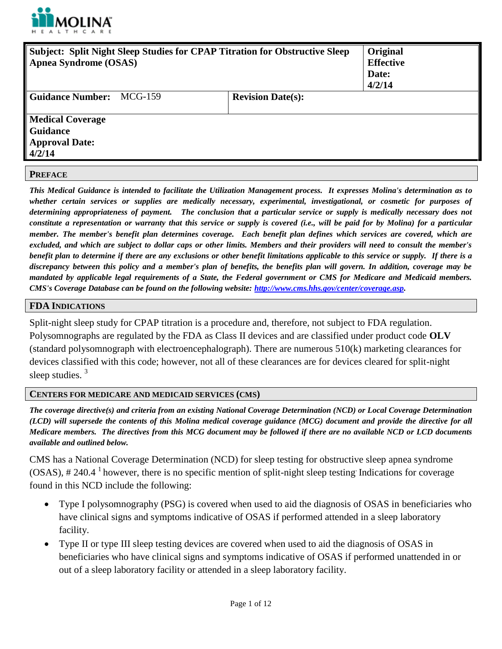

| <b>Subject: Split Night Sleep Studies for CPAP Titration for Obstructive Sleep</b><br><b>Apnea Syndrome (OSAS)</b> |         | Original<br><b>Effective</b><br>Date:<br>4/2/14 |  |
|--------------------------------------------------------------------------------------------------------------------|---------|-------------------------------------------------|--|
| <b>Guidance Number:</b>                                                                                            | MCG-159 | <b>Revision Date(s):</b>                        |  |
| <b>Medical Coverage</b><br><b>Guidance</b><br><b>Approval Date:</b><br>4/2/14                                      |         |                                                 |  |
| <b>PREFACE</b>                                                                                                     |         |                                                 |  |

*This Medical Guidance is intended to facilitate the Utilization Management process. It expresses Molina's determination as to whether certain services or supplies are medically necessary, experimental, investigational, or cosmetic for purposes of determining appropriateness of payment. The conclusion that a particular service or supply is medically necessary does not constitute a representation or warranty that this service or supply is covered (i.e., will be paid for by Molina) for a particular member. The member's benefit plan determines coverage. Each benefit plan defines which services are covered, which are excluded, and which are subject to dollar caps or other limits. Members and their providers will need to consult the member's benefit plan to determine if there are any exclusions or other benefit limitations applicable to this service or supply. If there is a discrepancy between this policy and a member's plan of benefits, the benefits plan will govern. In addition, coverage may be mandated by applicable legal requirements of a State, the Federal government or CMS for Medicare and Medicaid members. CMS's Coverage Database can be found on the following website: [http://www.cms.hhs.gov/center/coverage.asp.](http://www.cms.hhs.gov/center/coverage.asp)*

#### **FDA INDICATIONS**

Split-night sleep study for CPAP titration is a procedure and, therefore, not subject to FDA regulation. Polysomnographs are regulated by the FDA as Class II devices and are classified under product code **OLV**  (standard polysomnograph with electroencephalograph). There are numerous 510(k) marketing clearances for devices classified with this code; however, not all of these clearances are for devices cleared for split-night sleep studies.<sup>3</sup>

#### **CENTERS FOR MEDICARE AND MEDICAID SERVICES (CMS)**

*The coverage directive(s) and criteria from an existing National Coverage Determination (NCD) or Local Coverage Determination (LCD) will supersede the contents of this Molina medical coverage guidance (MCG) document and provide the directive for all Medicare members. The directives from this MCG document may be followed if there are no available NCD or LCD documents available and outlined below.*

CMS has a National Coverage Determination (NCD) for sleep testing for obstructive sleep apnea syndrome  $(OSAS)$ , # 240.4 <sup>1</sup> however, there is no specific mention of split-night sleep testing. Indications for coverage found in this NCD include the following:

- Type I polysomnography (PSG) is covered when used to aid the diagnosis of OSAS in beneficiaries who have clinical signs and symptoms indicative of OSAS if performed attended in a sleep laboratory facility.
- Type II or type III sleep testing devices are covered when used to aid the diagnosis of OSAS in beneficiaries who have clinical signs and symptoms indicative of OSAS if performed unattended in or out of a sleep laboratory facility or attended in a sleep laboratory facility.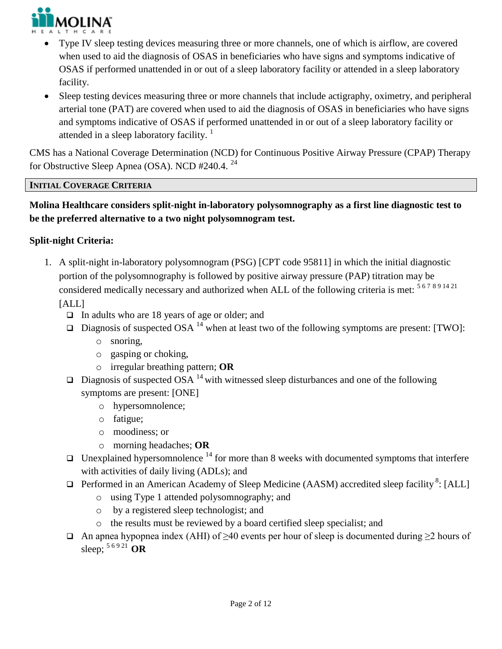

- Type IV sleep testing devices measuring three or more channels, one of which is airflow, are covered when used to aid the diagnosis of OSAS in beneficiaries who have signs and symptoms indicative of OSAS if performed unattended in or out of a sleep laboratory facility or attended in a sleep laboratory facility.
- Sleep testing devices measuring three or more channels that include actigraphy, oximetry, and peripheral arterial tone (PAT) are covered when used to aid the diagnosis of OSAS in beneficiaries who have signs and symptoms indicative of OSAS if performed unattended in or out of a sleep laboratory facility or attended in a sleep laboratory facility.<sup>1</sup>

CMS has a National Coverage Determination (NCD) for Continuous Positive Airway Pressure (CPAP) Therapy for Obstructive Sleep Apnea (OSA). NCD #240.4. <sup>24</sup>

## **INITIAL COVERAGE CRITERIA**

# **Molina Healthcare considers split-night in-laboratory polysomnography as a first line diagnostic test to be the preferred alternative to a two night polysomnogram test.**

## **Split-night Criteria:**

1. A split-night in-laboratory polysomnogram (PSG) [CPT code 95811] in which the initial diagnostic portion of the polysomnography is followed by positive airway pressure (PAP) titration may be considered medically necessary and authorized when ALL of the following criteria is met:  $567891421$ [ALL]

- $\Box$  In adults who are 18 years of age or older; and
- $\Box$  Diagnosis of suspected OSA <sup>14</sup> when at least two of the following symptoms are present: [TWO]:
	- o snoring,
	- o gasping or choking,
	- o irregular breathing pattern; **OR**
- $\Box$  Diagnosis of suspected OSA <sup>14</sup> with witnessed sleep disturbances and one of the following symptoms are present: [ONE]
	- o hypersomnolence;
	- o fatigue;
	- o moodiness; or
	- o morning headaches; **OR**
- $\Box$  Unexplained hypersomnolence  $^{14}$  for more than 8 weeks with documented symptoms that interfere with activities of daily living (ADLs); and
- $\Box$  Performed in an American Academy of Sleep Medicine (AASM) accredited sleep facility<sup>8</sup>: [ALL]
	- o using Type 1 attended polysomnography; and
	- o by a registered sleep technologist; and
	- o the results must be reviewed by a board certified sleep specialist; and
- An apnea hypopnea index (AHI) of  $\geq 40$  events per hour of sleep is documented during  $\geq 2$  hours of sleep; 5 6 9 21 **OR**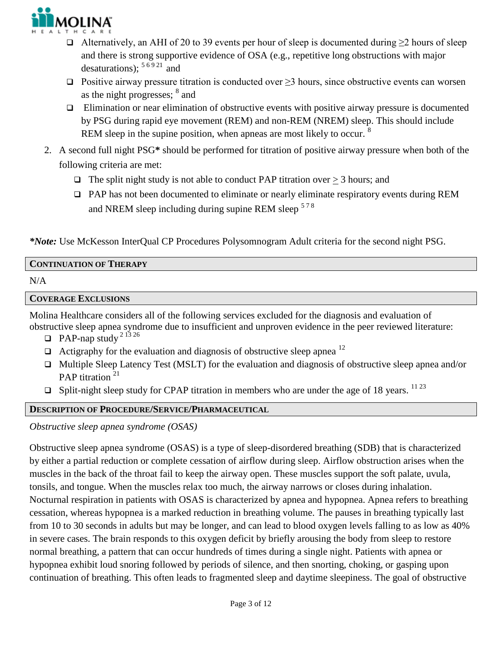

- $\Box$  Alternatively, an AHI of 20 to 39 events per hour of sleep is documented during ≥2 hours of sleep and there is strong supportive evidence of OSA (e.g., repetitive long obstructions with major desaturations):  $56921$  and
- $□$  Positive airway pressure titration is conducted over  $\geq$ 3 hours, since obstructive events can worsen as the night progresses; <sup>8</sup> and
- $\Box$  Elimination or near elimination of obstructive events with positive airway pressure is documented by PSG during rapid eye movement (REM) and non-REM (NREM) sleep. This should include REM sleep in the supine position, when apneas are most likely to occur. <sup>8</sup>
- 2. A second full night PSG**\*** should be performed for titration of positive airway pressure when both of the following criteria are met:
	- $\Box$  The split night study is not able to conduct PAP titration over > 3 hours; and
	- PAP has not been documented to eliminate or nearly eliminate respiratory events during REM and NREM sleep including during supine REM sleep <sup>578</sup>

*\*Note:* Use McKesson InterQual CP Procedures Polysomnogram Adult criteria for the second night PSG.

### **CONTINUATION OF THERAPY**

N/A

#### **COVERAGE EXCLUSIONS**

Molina Healthcare considers all of the following services excluded for the diagnosis and evaluation of obstructive sleep apnea syndrome due to insufficient and unproven evidence in the peer reviewed literature:

 $\Box$  PAP-nap study <sup>2 13 26</sup>

- $\Box$  Actigraphy for the evaluation and diagnosis of obstructive sleep apnea  $^{12}$
- $\Box$  Multiple Sleep Latency Test (MSLT) for the evaluation and diagnosis of obstructive sleep apnea and/or PAP titration<sup>21</sup>
- $\Box$  Split-night sleep study for CPAP titration in members who are under the age of 18 years. <sup>1123</sup>

### **DESCRIPTION OF PROCEDURE/SERVICE/PHARMACEUTICAL**

*Obstructive sleep apnea syndrome (OSAS)* 

Obstructive sleep apnea syndrome (OSAS) is a type of sleep-disordered breathing (SDB) that is characterized by either a partial reduction or complete cessation of airflow during sleep. Airflow obstruction arises when the muscles in the back of the throat fail to keep the airway open. These muscles support the soft palate, uvula, tonsils, and tongue. When the muscles relax too much, the airway narrows or closes during inhalation. Nocturnal respiration in patients with OSAS is characterized by apnea and hypopnea. Apnea refers to breathing cessation, whereas hypopnea is a marked reduction in breathing volume. The pauses in breathing typically last from 10 to 30 seconds in adults but may be longer, and can lead to blood oxygen levels falling to as low as 40% in severe cases. The brain responds to this oxygen deficit by briefly arousing the body from sleep to restore normal breathing, a pattern that can occur hundreds of times during a single night. Patients with apnea or hypopnea exhibit loud snoring followed by periods of silence, and then snorting, choking, or gasping upon continuation of breathing. This often leads to fragmented sleep and daytime sleepiness. The goal of obstructive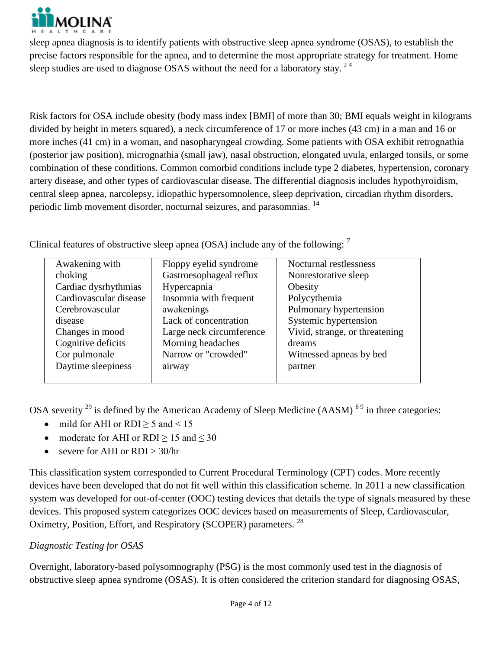

sleep apnea diagnosis is to identify patients with obstructive sleep apnea syndrome (OSAS), to establish the precise factors responsible for the apnea, and to determine the most appropriate strategy for treatment. Home sleep studies are used to diagnose OSAS without the need for a laboratory stay.  $2<sup>4</sup>$ 

Risk factors for OSA include obesity (body mass index [BMI] of more than 30; BMI equals weight in kilograms divided by height in meters squared), a neck circumference of 17 or more inches (43 cm) in a man and 16 or more inches (41 cm) in a woman, and nasopharyngeal crowding. Some patients with OSA exhibit retrognathia (posterior jaw position), micrognathia (small jaw), nasal obstruction, elongated uvula, enlarged tonsils, or some combination of these conditions. Common comorbid conditions include type 2 diabetes, hypertension, coronary artery disease, and other types of cardiovascular disease. The differential diagnosis includes hypothyroidism, central sleep apnea, narcolepsy, idiopathic hypersomnolence, sleep deprivation, circadian rhythm disorders, periodic limb movement disorder, nocturnal seizures, and parasomnias. <sup>14</sup>

Clinical features of obstructive sleep apnea (OSA) include any of the following:  $<sup>7</sup>$ </sup>

| Awakening with         | Floppy eyelid syndrome   | Nocturnal restlessness         |
|------------------------|--------------------------|--------------------------------|
| choking                | Gastroesophageal reflux  | Nonrestorative sleep           |
| Cardiac dysrhythmias   | Hypercapnia              | Obesity                        |
| Cardiovascular disease | Insomnia with frequent   | Polycythemia                   |
| Cerebrovascular        | awakenings               | Pulmonary hypertension         |
| disease                | Lack of concentration    | Systemic hypertension          |
| Changes in mood        | Large neck circumference | Vivid, strange, or threatening |
| Cognitive deficits     | Morning headaches        | dreams                         |
| Cor pulmonale          | Narrow or "crowded"      | Witnessed apneas by bed        |
| Daytime sleepiness     | airway                   | partner                        |
|                        |                          |                                |

OSA severity  $^{29}$  is defined by the American Academy of Sleep Medicine (AASM)  $^{69}$  in three categories:

- mild for AHI or RDI  $\geq$  5 and < 15
- moderate for AHI or RDI  $> 15$  and  $< 30$
- severe for AHI or RDI > 30/hr

This classification system corresponded to Current Procedural Terminology (CPT) codes. More recently devices have been developed that do not fit well within this classification scheme. In 2011 a new classification system was developed for out-of-center (OOC) testing devices that details the type of signals measured by these devices. This proposed system categorizes OOC devices based on measurements of Sleep, Cardiovascular, Oximetry, Position, Effort, and Respiratory (SCOPER) parameters. <sup>28</sup>

# *Diagnostic Testing for OSAS*

Overnight, laboratory-based polysomnography (PSG) is the most commonly used test in the diagnosis of obstructive sleep apnea syndrome (OSAS). It is often considered the criterion standard for diagnosing OSAS,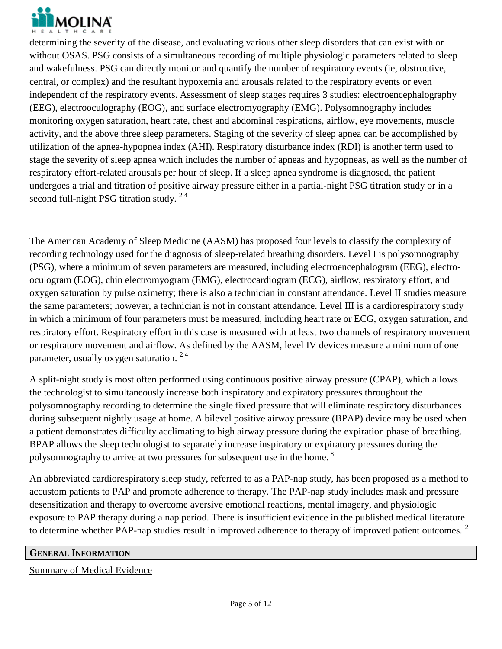

determining the severity of the disease, and evaluating various other sleep disorders that can exist with or without OSAS. PSG consists of a simultaneous recording of multiple physiologic parameters related to sleep and wakefulness. PSG can directly monitor and quantify the number of respiratory events (ie, obstructive, central, or complex) and the resultant hypoxemia and arousals related to the respiratory events or even independent of the respiratory events. Assessment of sleep stages requires 3 studies: electroencephalography (EEG), electrooculography (EOG), and surface electromyography (EMG). Polysomnography includes monitoring oxygen saturation, heart rate, chest and abdominal respirations, airflow, eye movements, muscle activity, and the above three sleep parameters. Staging of the severity of sleep apnea can be accomplished by utilization of the apnea-hypopnea index (AHI). Respiratory disturbance index (RDI) is another term used to stage the severity of sleep apnea which includes the number of apneas and hypopneas, as well as the number of respiratory effort-related arousals per hour of sleep. If a sleep apnea syndrome is diagnosed, the patient undergoes a trial and titration of positive airway pressure either in a partial-night PSG titration study or in a second full-night PSG titration study.  $2<sup>4</sup>$ 

The American Academy of Sleep Medicine (AASM) has proposed four levels to classify the complexity of recording technology used for the diagnosis of sleep-related breathing disorders. Level I is polysomnography (PSG), where a minimum of seven parameters are measured, including electroencephalogram (EEG), electrooculogram (EOG), chin electromyogram (EMG), electrocardiogram (ECG), airflow, respiratory effort, and oxygen saturation by pulse oximetry; there is also a technician in constant attendance. Level II studies measure the same parameters; however, a technician is not in constant attendance. Level III is a cardiorespiratory study in which a minimum of four parameters must be measured, including heart rate or ECG, oxygen saturation, and respiratory effort. Respiratory effort in this case is measured with at least two channels of respiratory movement or respiratory movement and airflow. As defined by the AASM, level IV devices measure a minimum of one parameter, usually oxygen saturation. 2 4

A split-night study is most often performed using continuous positive airway pressure (CPAP), which allows the technologist to simultaneously increase both inspiratory and expiratory pressures throughout the polysomnography recording to determine the single fixed pressure that will eliminate respiratory disturbances during subsequent nightly usage at home. A bilevel positive airway pressure (BPAP) device may be used when a patient demonstrates difficulty acclimating to high airway pressure during the expiration phase of breathing. BPAP allows the sleep technologist to separately increase inspiratory or expiratory pressures during the polysomnography to arrive at two pressures for subsequent use in the home.<sup>8</sup>

An abbreviated cardiorespiratory sleep study, referred to as a PAP-nap study, has been proposed as a method to accustom patients to PAP and promote adherence to therapy. The PAP-nap study includes mask and pressure desensitization and therapy to overcome aversive emotional reactions, mental imagery, and physiologic exposure to PAP therapy during a nap period. There is insufficient evidence in the published medical literature to determine whether PAP-nap studies result in improved adherence to therapy of improved patient outcomes. <sup>2</sup>

#### **GENERAL INFORMATION**

#### Summary of Medical Evidence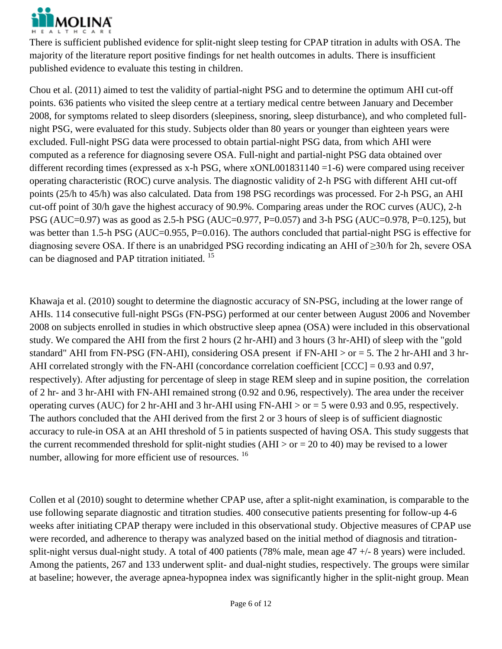

There is sufficient published evidence for split-night sleep testing for CPAP titration in adults with OSA. The majority of the literature report positive findings for net health outcomes in adults. There is insufficient published evidence to evaluate this testing in children.

Chou et al. (2011) aimed to test the validity of partial-night PSG and to determine the optimum AHI cut-off points. 636 patients who visited the sleep centre at a tertiary medical centre between January and December 2008, for symptoms related to sleep disorders (sleepiness, snoring, sleep disturbance), and who completed fullnight PSG, were evaluated for this study. Subjects older than 80 years or younger than eighteen years were excluded. Full-night PSG data were processed to obtain partial-night PSG data, from which AHI were computed as a reference for diagnosing severe OSA. Full-night and partial-night PSG data obtained over different recording times (expressed as x-h PSG, where  $xONL001831140 = 1-6$ ) were compared using receiver operating characteristic (ROC) curve analysis. The diagnostic validity of 2-h PSG with different AHI cut-off points (25/h to 45/h) was also calculated. Data from 198 PSG recordings was processed. For 2-h PSG, an AHI cut-off point of 30/h gave the highest accuracy of 90.9%. Comparing areas under the ROC curves (AUC), 2-h PSG (AUC=0.97) was as good as 2.5-h PSG (AUC=0.977, P=0.057) and 3-h PSG (AUC=0.978, P=0.125), but was better than 1.5-h PSG (AUC=0.955, P=0.016). The authors concluded that partial-night PSG is effective for diagnosing severe OSA. If there is an unabridged PSG recording indicating an AHI of ≥30/h for 2h, severe OSA can be diagnosed and PAP titration initiated. <sup>15</sup>

Khawaja et al. (2010) sought to determine the diagnostic accuracy of SN-PSG, including at the lower range of AHIs. 114 consecutive full-night PSGs (FN-PSG) performed at our center between August 2006 and November 2008 on subjects enrolled in studies in which obstructive sleep apnea (OSA) were included in this observational study. We compared the AHI from the first 2 hours (2 hr-AHI) and 3 hours (3 hr-AHI) of sleep with the "gold standard" AHI from FN-PSG (FN-AHI), considering OSA present if FN-AHI > or = 5. The 2 hr-AHI and 3 hr-AHI correlated strongly with the FN-AHI (concordance correlation coefficient [CCC] = 0.93 and 0.97, respectively). After adjusting for percentage of sleep in stage REM sleep and in supine position, the correlation of 2 hr- and 3 hr-AHI with FN-AHI remained strong (0.92 and 0.96, respectively). The area under the receiver operating curves (AUC) for 2 hr-AHI and 3 hr-AHI using FN-AHI > or = 5 were 0.93 and 0.95, respectively. The authors concluded that the AHI derived from the first 2 or 3 hours of sleep is of sufficient diagnostic accuracy to rule-in OSA at an AHI threshold of 5 in patients suspected of having OSA. This study suggests that the current recommended threshold for split-night studies (AHI  $>$  or = 20 to 40) may be revised to a lower number, allowing for more efficient use of resources. <sup>16</sup>

Collen et al (2010) sought to determine whether CPAP use, after a split-night examination, is comparable to the use following separate diagnostic and titration studies. 400 consecutive patients presenting for follow-up 4-6 weeks after initiating CPAP therapy were included in this observational study. Objective measures of CPAP use were recorded, and adherence to therapy was analyzed based on the initial method of diagnosis and titrationsplit-night versus dual-night study. A total of 400 patients (78% male, mean age 47 +/- 8 years) were included. Among the patients, 267 and 133 underwent split- and dual-night studies, respectively. The groups were similar at baseline; however, the average apnea-hypopnea index was significantly higher in the split-night group. Mean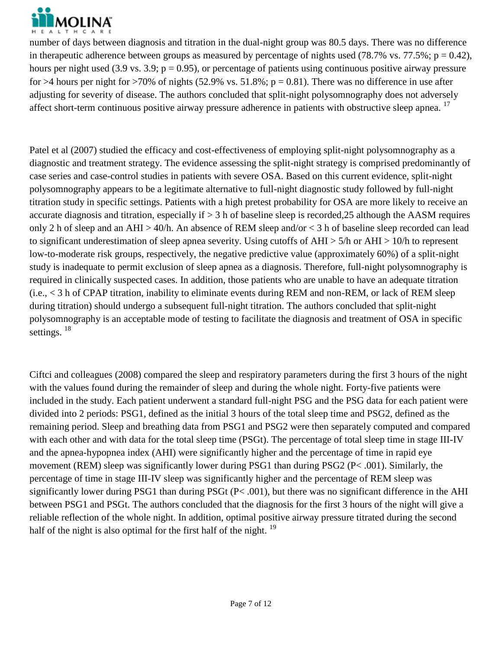

number of days between diagnosis and titration in the dual-night group was 80.5 days. There was no difference in therapeutic adherence between groups as measured by percentage of nights used (78.7% vs. 77.5%;  $p = 0.42$ ), hours per night used (3.9 vs. 3.9;  $p = 0.95$ ), or percentage of patients using continuous positive airway pressure for >4 hours per night for >70% of nights (52.9% vs. 51.8%;  $p = 0.81$ ). There was no difference in use after adjusting for severity of disease. The authors concluded that split-night polysomnography does not adversely affect short-term continuous positive airway pressure adherence in patients with obstructive sleep apnea.<sup>17</sup>

Patel et al (2007) studied the efficacy and cost-effectiveness of employing split-night polysomnography as a diagnostic and treatment strategy. The evidence assessing the split-night strategy is comprised predominantly of case series and case-control studies in patients with severe OSA. Based on this current evidence, split-night polysomnography appears to be a legitimate alternative to full-night diagnostic study followed by full-night titration study in specific settings. Patients with a high pretest probability for OSA are more likely to receive an accurate diagnosis and titration, especially if > 3 h of baseline sleep is recorded,25 although the AASM requires only 2 h of sleep and an AHI > 40/h. An absence of REM sleep and/or < 3 h of baseline sleep recorded can lead to significant underestimation of sleep apnea severity. Using cutoffs of AHI > 5/h or AHI > 10/h to represent low-to-moderate risk groups, respectively, the negative predictive value (approximately 60%) of a split-night study is inadequate to permit exclusion of sleep apnea as a diagnosis. Therefore, full-night polysomnography is required in clinically suspected cases. In addition, those patients who are unable to have an adequate titration (i.e., < 3 h of CPAP titration, inability to eliminate events during REM and non-REM, or lack of REM sleep during titration) should undergo a subsequent full-night titration. The authors concluded that split-night polysomnography is an acceptable mode of testing to facilitate the diagnosis and treatment of OSA in specific settings.<sup>18</sup>

Ciftci and colleagues (2008) compared the sleep and respiratory parameters during the first 3 hours of the night with the values found during the remainder of sleep and during the whole night. Forty-five patients were included in the study. Each patient underwent a standard full-night PSG and the PSG data for each patient were divided into 2 periods: PSG1, defined as the initial 3 hours of the total sleep time and PSG2, defined as the remaining period. Sleep and breathing data from PSG1 and PSG2 were then separately computed and compared with each other and with data for the total sleep time (PSGt). The percentage of total sleep time in stage III-IV and the apnea-hypopnea index (AHI) were significantly higher and the percentage of time in rapid eye movement (REM) sleep was significantly lower during PSG1 than during PSG2 (P< .001). Similarly, the percentage of time in stage III-IV sleep was significantly higher and the percentage of REM sleep was significantly lower during PSG1 than during PSGt (P< .001), but there was no significant difference in the AHI between PSG1 and PSGt. The authors concluded that the diagnosis for the first 3 hours of the night will give a reliable reflection of the whole night. In addition, optimal positive airway pressure titrated during the second half of the night is also optimal for the first half of the night.  $19$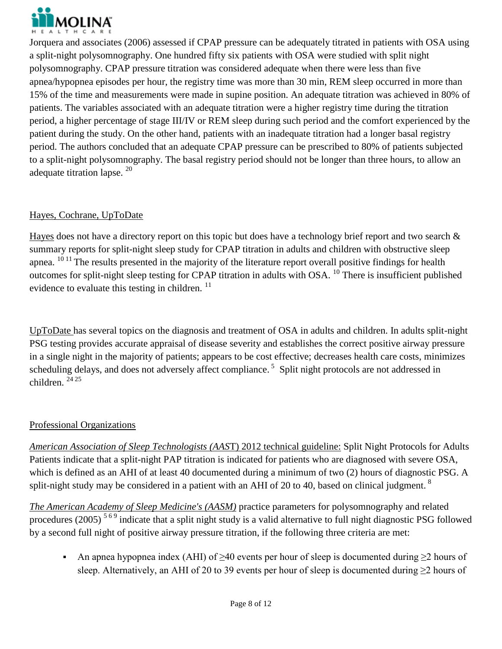

Jorquera and associates (2006) assessed if CPAP pressure can be adequately titrated in patients with OSA using a split-night polysomnography. One hundred fifty six patients with OSA were studied with split night polysomnography. CPAP pressure titration was considered adequate when there were less than five apnea/hypopnea episodes per hour, the registry time was more than 30 min, REM sleep occurred in more than 15% of the time and measurements were made in supine position. An adequate titration was achieved in 80% of patients. The variables associated with an adequate titration were a higher registry time during the titration period, a higher percentage of stage III/IV or REM sleep during such period and the comfort experienced by the patient during the study. On the other hand, patients with an inadequate titration had a longer basal registry period. The authors concluded that an adequate CPAP pressure can be prescribed to 80% of patients subjected to a split-night polysomnography. The basal registry period should not be longer than three hours, to allow an adequate titration lapse.<sup>20</sup>

### Hayes, Cochrane, UpToDate

Hayes does not have a directory report on this topic but does have a technology brief report and two search & summary reports for split-night sleep study for CPAP titration in adults and children with obstructive sleep apnea. <sup>10 11</sup> The results presented in the majority of the literature report overall positive findings for health outcomes for split-night sleep testing for CPAP titration in adults with OSA.  $^{10}$  There is insufficient published evidence to evaluate this testing in children.  $<sup>11</sup>$ </sup>

UpToDate has several topics on the diagnosis and treatment of OSA in adults and children. In adults split-night PSG testing provides accurate appraisal of disease severity and establishes the correct positive airway pressure in a single night in the majority of patients; appears to be cost effective; decreases health care costs, minimizes scheduling delays, and does not adversely affect compliance.<sup>5</sup> Split night protocols are not addressed in children.  $2425$ 

### Professional Organizations

*American Association of Sleep Technologists (AAS*T) 2012 technical guideline: Split Night Protocols for Adults Patients indicate that a split-night PAP titration is indicated for patients who are diagnosed with severe OSA, which is defined as an AHI of at least 40 documented during a minimum of two (2) hours of diagnostic PSG. A split-night study may be considered in a patient with an AHI of 20 to 40, based on clinical judgment.  $8$ 

*The American Academy of Sleep Medicine's (AASM)* practice parameters for polysomnography and related procedures (2005)<sup>569</sup> indicate that a split night study is a valid alternative to full night diagnostic PSG followed by a second full night of positive airway pressure titration, if the following three criteria are met:

An apnea hypopnea index (AHI) of  $\geq$ 40 events per hour of sleep is documented during  $\geq$ 2 hours of sleep. Alternatively, an AHI of 20 to 39 events per hour of sleep is documented during  $\geq$ 2 hours of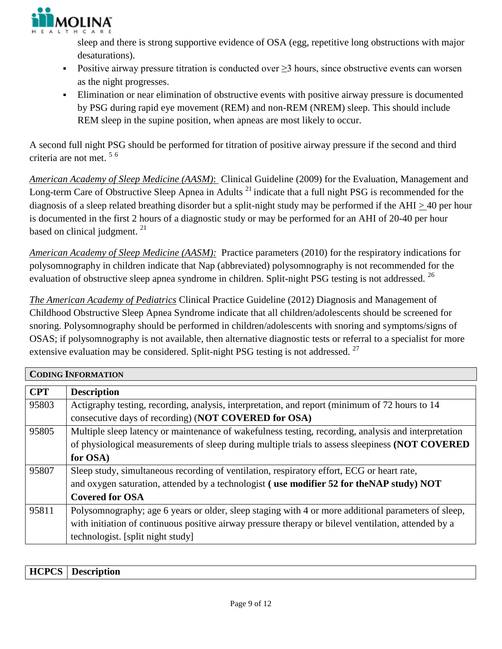

sleep and there is strong supportive evidence of OSA (egg, repetitive long obstructions with major desaturations).

- Positive airway pressure titration is conducted over  $\geq$ 3 hours, since obstructive events can worsen as the night progresses.
- Elimination or near elimination of obstructive events with positive airway pressure is documented by PSG during rapid eye movement (REM) and non-REM (NREM) sleep. This should include REM sleep in the supine position, when apneas are most likely to occur.

A second full night PSG should be performed for titration of positive airway pressure if the second and third criteria are not met. 5 6

*American Academy of Sleep Medicine (AASM)*: Clinical Guideline (2009) for the Evaluation, Management and Long-term Care of Obstructive Sleep Apnea in Adults<sup>21</sup> indicate that a full night PSG is recommended for the diagnosis of a sleep related breathing disorder but a split-night study may be performed if the AHI > 40 per hour is documented in the first 2 hours of a diagnostic study or may be performed for an AHI of 20-40 per hour based on clinical judgment.<sup>21</sup>

*American Academy of Sleep Medicine (AASM):* Practice parameters (2010) for the respiratory indications for polysomnography in children indicate that Nap (abbreviated) polysomnography is not recommended for the evaluation of obstructive sleep apnea syndrome in children. Split-night PSG testing is not addressed. <sup>26</sup>

*The American Academy of Pediatrics* Clinical Practice Guideline (2012) Diagnosis and Management of Childhood Obstructive Sleep Apnea Syndrome indicate that all children/adolescents should be screened for snoring. Polysomnography should be performed in children/adolescents with snoring and symptoms/signs of OSAS; if polysomnography is not available, then alternative diagnostic tests or referral to a specialist for more extensive evaluation may be considered. Split-night PSG testing is not addressed. <sup>27</sup>

| <b>CODING INFORMATION</b> |                                                                                                      |  |
|---------------------------|------------------------------------------------------------------------------------------------------|--|
| <b>CPT</b>                | <b>Description</b>                                                                                   |  |
| 95803                     | Actigraphy testing, recording, analysis, interpretation, and report (minimum of 72 hours to 14       |  |
|                           | consecutive days of recording) (NOT COVERED for OSA)                                                 |  |
| 95805                     | Multiple sleep latency or maintenance of wakefulness testing, recording, analysis and interpretation |  |
|                           | of physiological measurements of sleep during multiple trials to assess sleepiness (NOT COVERED      |  |
|                           | for OSA)                                                                                             |  |
| 95807                     | Sleep study, simultaneous recording of ventilation, respiratory effort, ECG or heart rate,           |  |
|                           | and oxygen saturation, attended by a technologist (use modifier 52 for the NAP study) NOT            |  |
|                           | <b>Covered for OSA</b>                                                                               |  |
| 95811                     | Polysomnography; age 6 years or older, sleep staging with 4 or more additional parameters of sleep,  |  |
|                           | with initiation of continuous positive airway pressure therapy or bilevel ventilation, attended by a |  |
|                           | technologist. [split night study]                                                                    |  |

| HCP<br><b>HCPCS</b><br>$\mathbf{D}$<br>.<br>.OD -<br>м.<br>$\sim$ $\sim$ $\sim$ $\sim$ |
|----------------------------------------------------------------------------------------|
|----------------------------------------------------------------------------------------|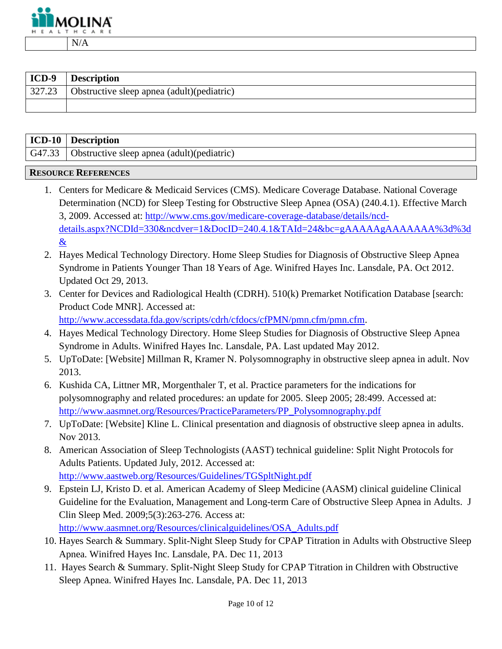

| ICD-9  | <b>Description</b>                          |
|--------|---------------------------------------------|
| 327.23 | Obstructive sleep apnea (adult) (pediatric) |
|        |                                             |

| ICD-10   Description                                |
|-----------------------------------------------------|
| G47.33   Obstructive sleep apnea (adult)(pediatric) |

#### **RESOURCE REFERENCES**

- 1. Centers for Medicare & Medicaid Services (CMS). Medicare Coverage Database. National Coverage Determination (NCD) for Sleep Testing for Obstructive Sleep Apnea (OSA) (240.4.1). Effective March 3, 2009. Accessed at: [http://www.cms.gov/medicare-coverage-database/details/ncd](http://www.cms.gov/medicare-coverage-database/details/ncd-details.aspx?NCDId=330&ncdver=1&DocID=240.4.1&TAId=24&bc=gAAAAAgAAAAAAA%3d%3d&)[details.aspx?NCDId=330&ncdver=1&DocID=240.4.1&TAId=24&bc=gAAAAAgAAAAAAA%3d%3d](http://www.cms.gov/medicare-coverage-database/details/ncd-details.aspx?NCDId=330&ncdver=1&DocID=240.4.1&TAId=24&bc=gAAAAAgAAAAAAA%3d%3d&) [&](http://www.cms.gov/medicare-coverage-database/details/ncd-details.aspx?NCDId=330&ncdver=1&DocID=240.4.1&TAId=24&bc=gAAAAAgAAAAAAA%3d%3d&)
- 2. Hayes Medical Technology Directory. Home Sleep Studies for Diagnosis of Obstructive Sleep Apnea Syndrome in Patients Younger Than 18 Years of Age. Winifred Hayes Inc. Lansdale, PA. Oct 2012. Updated Oct 29, 2013.
- 3. Center for Devices and Radiological Health (CDRH). 510(k) Premarket Notification Database [search: Product Code MNR]. Accessed at:

[http://www.accessdata.fda.gov/scripts/cdrh/cfdocs/cfPMN/pmn.cfm/pmn.cfm.](http://www.accessdata.fda.gov/scripts/cdrh/cfdocs/cfPMN/pmn.cfm/pmn.cfm)

- 4. Hayes Medical Technology Directory. Home Sleep Studies for Diagnosis of Obstructive Sleep Apnea Syndrome in Adults. Winifred Hayes Inc. Lansdale, PA. Last updated May 2012.
- 5. UpToDate: [Website] Millman R, Kramer N. Polysomnography in obstructive sleep apnea in adult. Nov 2013.
- 6. Kushida CA, Littner MR, Morgenthaler T, et al. Practice parameters for the indications for polysomnography and related procedures: an update for 2005. Sleep 2005; 28:499. Accessed at: [http://www.aasmnet.org/Resources/PracticeParameters/PP\\_Polysomnography.pdf](http://www.aasmnet.org/Resources/PracticeParameters/PP_Polysomnography.pdf)
- 7. UpToDate: [Website] Kline L. Clinical presentation and diagnosis of obstructive sleep apnea in adults. Nov 2013.
- 8. American Association of Sleep Technologists (AAST) technical guideline: Split Night Protocols for Adults Patients. Updated July, 2012. Accessed at: <http://www.aastweb.org/Resources/Guidelines/TGSpltNight.pdf>
- 9. Epstein LJ, Kristo D. et al. American Academy of Sleep Medicine (AASM) clinical guideline Clinical Guideline for the Evaluation, Management and Long-term Care of Obstructive Sleep Apnea in Adults. J Clin Sleep Med. 2009;5(3):263-276. Access at: [http://www.aasmnet.org/Resources/clinicalguidelines/OSA\\_Adults.pdf](http://www.aasmnet.org/Resources/clinicalguidelines/OSA_Adults.pdf)
- 10. Hayes Search & Summary. Split-Night Sleep Study for CPAP Titration in Adults with Obstructive Sleep Apnea. Winifred Hayes Inc. Lansdale, PA. Dec 11, 2013
- 11. Hayes Search & Summary. Split-Night Sleep Study for CPAP Titration in Children with Obstructive Sleep Apnea. Winifred Hayes Inc. Lansdale, PA. Dec 11, 2013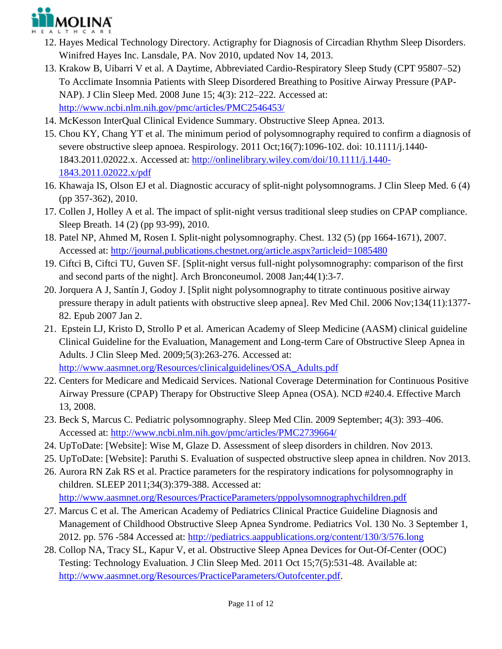

- 12. Hayes Medical Technology Directory. Actigraphy for Diagnosis of Circadian Rhythm Sleep Disorders. Winifred Hayes Inc. Lansdale, PA. Nov 2010, updated Nov 14, 2013.
- 13. Krakow B, Uibarri V et al. A Daytime, Abbreviated Cardio-Respiratory Sleep Study (CPT 95807–52) To Acclimate Insomnia Patients with Sleep Disordered Breathing to Positive Airway Pressure (PAP-NAP). J Clin Sleep Med. 2008 June 15; 4(3): 212–222. Accessed at: <http://www.ncbi.nlm.nih.gov/pmc/articles/PMC2546453/>
- 14. McKesson InterQual Clinical Evidence Summary. Obstructive Sleep Apnea. 2013.
- 15. Chou KY, Chang YT et al. The minimum period of polysomnography required to confirm a diagnosis of severe obstructive sleep apnoea. Respirology. 2011 Oct;16(7):1096-102. doi: 10.1111/j.1440- 1843.2011.02022.x. Accessed at: [http://onlinelibrary.wiley.com/doi/10.1111/j.1440-](http://onlinelibrary.wiley.com/doi/10.1111/j.1440-1843.2011.02022.x/pdf) [1843.2011.02022.x/pdf](http://onlinelibrary.wiley.com/doi/10.1111/j.1440-1843.2011.02022.x/pdf)
- 16. Khawaja IS, Olson EJ et al. Diagnostic accuracy of split-night polysomnograms. J Clin Sleep Med. 6 (4) (pp 357-362), 2010.
- 17. Collen J, Holley A et al. The impact of split-night versus traditional sleep studies on CPAP compliance. Sleep Breath. 14 (2) (pp 93-99), 2010.
- 18. Patel NP, Ahmed M, Rosen I. Split-night polysomnography. Chest. 132 (5) (pp 1664-1671), 2007. Accessed at:<http://journal.publications.chestnet.org/article.aspx?articleid=1085480>
- 19. Ciftci B, Ciftci TU, Guven SF. [Split-night versus full-night polysomnography: comparison of the first and second parts of the night]. Arch Bronconeumol. 2008 Jan;44(1):3-7.
- 20. Jorquera A J, Santín J, Godoy J. [Split night polysomnography to titrate continuous positive airway pressure therapy in adult patients with obstructive sleep apnea]. Rev Med Chil. 2006 Nov;134(11):1377- 82. Epub 2007 Jan 2.
- 21. Epstein LJ, Kristo D, Strollo P et al. American Academy of Sleep Medicine (AASM) clinical guideline Clinical Guideline for the Evaluation, Management and Long-term Care of Obstructive Sleep Apnea in Adults. J Clin Sleep Med. 2009;5(3):263-276. Accessed at: [http://www.aasmnet.org/Resources/clinicalguidelines/OSA\\_Adults.pdf](http://www.aasmnet.org/Resources/clinicalguidelines/OSA_Adults.pdf)
- 22. Centers for Medicare and Medicaid Services. National Coverage Determination for Continuous Positive Airway Pressure (CPAP) Therapy for Obstructive Sleep Apnea (OSA). NCD #240.4. Effective March
- 13, 2008. 23. Beck S, Marcus C. Pediatric polysomnography. Sleep Med Clin. 2009 September; 4(3): 393–406. Accessed at:<http://www.ncbi.nlm.nih.gov/pmc/articles/PMC2739664/>
- 24. UpToDate: [Website]: Wise M, Glaze D. Assessment of sleep disorders in children. Nov 2013.
- 25. UpToDate: [Website]: Paruthi S. Evaluation of suspected obstructive sleep apnea in children. Nov 2013.
- 26. Aurora RN Zak RS et al. Practice parameters for the respiratory indications for polysomnography in children. SLEEP 2011;34(3):379-388. Accessed at: <http://www.aasmnet.org/Resources/PracticeParameters/pppolysomnographychildren.pdf>
- 27. Marcus C et al. The American Academy of Pediatrics Clinical Practice Guideline Diagnosis and Management of Childhood Obstructive Sleep Apnea Syndrome. Pediatrics Vol. 130 No. 3 September 1, 2012. pp. 576 -584 Accessed at:<http://pediatrics.aappublications.org/content/130/3/576.long>
- 28. Collop NA, Tracy SL, Kapur V, et al. Obstructive Sleep Apnea Devices for Out-Of-Center (OOC) Testing: Technology Evaluation. J Clin Sleep Med. 2011 Oct 15;7(5):531-48. Available at: [http://www.aasmnet.org/Resources/PracticeParameters/Outofcenter.pdf.](http://www.aasmnet.org/Resources/PracticeParameters/Outofcenter.pdf)